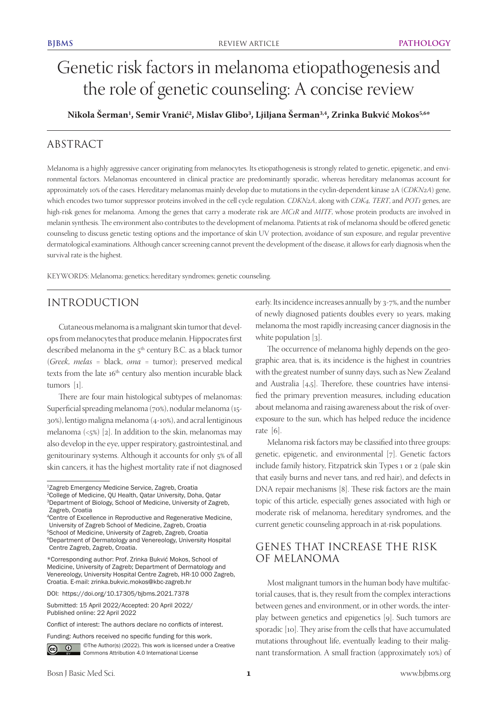# Genetic risk factors in melanoma etiopathogenesis and the role of genetic counseling: A concise review

**Nikola Šerman1 , Semir Vranić2 , Mislav Glibo3 , Ljiljana Šerman3,4, Zrinka Bukvić Mokos5,6\***

# ABSTRACT

Melanoma is a highly aggressive cancer originating from melanocytes. Its etiopathogenesis is strongly related to genetic, epigenetic, and environmental factors. Melanomas encountered in clinical practice are predominantly sporadic, whereas hereditary melanomas account for approximately 10% of the cases. Hereditary melanomas mainly develop due to mutations in the cyclin-dependent kinase 2A (*CDKN2A*) gene, which encodes two tumor suppressor proteins involved in the cell cycle regulation. *CDKN2A*, along with *CDK4, TERT*, and *POT1* genes, are high-risk genes for melanoma. Among the genes that carry a moderate risk are *MC1R* and *MITF*, whose protein products are involved in melanin synthesis. The environment also contributes to the development of melanoma. Patients at risk of melanoma should be offered genetic counseling to discuss genetic testing options and the importance of skin UV protection, avoidance of sun exposure, and regular preventive dermatological examinations. Although cancer screening cannot prevent the development of the disease, it allows for early diagnosis when the survival rate is the highest.

KEYWORDS: Melanoma; genetics; hereditary syndromes; genetic counseling.

# INTRODUCTION

Cutaneous melanoma is a malignant skin tumor that develops from melanocytes that produce melanin. Hippocrates first described melanoma in the 5<sup>th</sup> century B.C. as a black tumor (*Greek*, *melas* = black, *oma* = tumor); preserved medical texts from the late 16<sup>th</sup> century also mention incurable black tumors [1].

There are four main histological subtypes of melanomas: Superficial spreading melanoma (70%), nodular melanoma (15- 30%), lentigo maligna melanoma (4-10%), and acral lentiginous melanoma (<5%) [2]. In addition to the skin, melanomas may also develop in the eye, upper respiratory, gastrointestinal, and genitourinary systems. Although it accounts for only 5% of all skin cancers, it has the highest mortality rate if not diagnosed

Submitted: 15 April 2022/Accepted: 20 April 2022/ Published online: 22 April 2022

Funding: Authors received no specific funding for this work.



©The Author(s) (2022). This work is licensed under a Creative Commons Attribution 4.0 International License

early. Its incidence increases annually by 3-7%, and the number of newly diagnosed patients doubles every 10 years, making melanoma the most rapidly increasing cancer diagnosis in the white population [3].

The occurrence of melanoma highly depends on the geographic area, that is, its incidence is the highest in countries with the greatest number of sunny days, such as New Zealand and Australia [4,5]. Therefore, these countries have intensified the primary prevention measures, including education about melanoma and raising awareness about the risk of overexposure to the sun, which has helped reduce the incidence rate [6].

Melanoma risk factors may be classified into three groups: genetic, epigenetic, and environmental [7]. Genetic factors include family history, Fitzpatrick skin Types 1 or 2 (pale skin that easily burns and never tans, and red hair), and defects in DNA repair mechanisms [8]. These risk factors are the main topic of this article, especially genes associated with high or moderate risk of melanoma, hereditary syndromes, and the current genetic counseling approach in at-risk populations.

# GENES THAT INCREASE THE RISK OF MELANOMA

Most malignant tumors in the human body have multifactorial causes, that is, they result from the complex interactions between genes and environment, or in other words, the interplay between genetics and epigenetics [9]. Such tumors are sporadic [10]. They arise from the cells that have accumulated mutations throughout life, eventually leading to their malignant transformation. A small fraction (approximately 10%) of

<sup>1</sup>Zagreb Emergency Medicine Service, Zagreb, Croatia 2College of Medicine, QU Health, Qatar University, Doha, Qatar

<sup>3</sup>Department of Biology, School of Medicine, University of Zagreb, Zagreb, Croatia

<sup>4</sup>Centre of Excellence in Reproductive and Regenerative Medicine, University of Zagreb School of Medicine, Zagreb, Croatia 5School of Medicine, University of Zagreb, Zagreb, Croatia 6Department of Dermatology and Venereology, University Hospital Centre Zagreb, Zagreb, Croatia.

<sup>\*</sup>Corresponding author: Prof. Zrinka Bukvić Mokos, School of Medicine, University of Zagreb; Department of Dermatology and Venereology, University Hospital Centre Zagreb, HR-10 000 Zagreb, Croatia. E-mail: zrinka.bukvic.mokos@kbc-zagreb.hr

DOI: https://doi.org/10.17305/bjbms.2021.7378

Conflict of interest: The authors declare no conflicts of interest.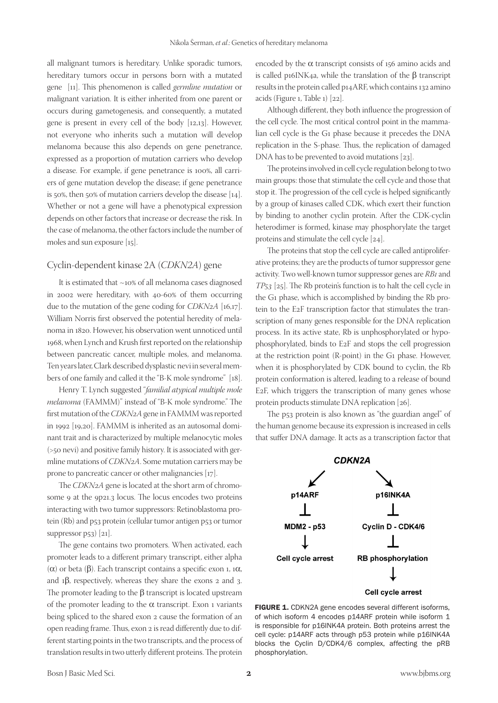all malignant tumors is hereditary. Unlike sporadic tumors, hereditary tumors occur in persons born with a mutated gene [11]. This phenomenon is called *germline mutation* or malignant variation. It is either inherited from one parent or occurs during gametogenesis, and consequently, a mutated gene is present in every cell of the body [12,13]. However, not everyone who inherits such a mutation will develop melanoma because this also depends on gene penetrance, expressed as a proportion of mutation carriers who develop a disease. For example, if gene penetrance is 100%, all carriers of gene mutation develop the disease; if gene penetrance is 50%, then 50% of mutation carriers develop the disease [14]. Whether or not a gene will have a phenotypical expression depends on other factors that increase or decrease the risk. In the case of melanoma, the other factors include the number of moles and sun exposure [15].

#### Cyclin-dependent kinase 2A (*CDKN2A*) gene

It is estimated that ~10% of all melanoma cases diagnosed in 2002 were hereditary, with 40-60% of them occurring due to the mutation of the gene coding for *CDKN2A* [16,17]. William Norris first observed the potential heredity of melanoma in 1820. However, his observation went unnoticed until 1968, when Lynch and Krush first reported on the relationship between pancreatic cancer, multiple moles, and melanoma. Ten years later, Clark described dysplastic nevi in several members of one family and called it the "B-K mole syndrome" [18].

Henry T. Lynch suggested "*familial atypical multiple mole melanoma* (FAMMM)" instead of "B-K mole syndrome." The first mutation of the *CDKN2A* gene in FAMMM was reported in 1992 [19,20]. FAMMM is inherited as an autosomal dominant trait and is characterized by multiple melanocytic moles (>50 nevi) and positive family history. It is associated with germline mutations of *CDKN2A*. Some mutation carriers may be prone to pancreatic cancer or other malignancies [17].

The *CDKN2A* gene is located at the short arm of chromosome 9 at the 9p21.3 locus. The locus encodes two proteins interacting with two tumor suppressors: Retinoblastoma protein (Rb) and p53 protein (cellular tumor antigen p53 or tumor suppressor p53) [21].

The gene contains two promoters. When activated, each promoter leads to a different primary transcript, either alpha (α) or beta (β). Each transcript contains a specific exon 1, 1α, and 1β, respectively, whereas they share the exons 2 and 3. The promoter leading to the  $β$  transcript is located upstream of the promoter leading to the  $\alpha$  transcript. Exon 1 variants being spliced to the shared exon 2 cause the formation of an open reading frame. Thus, exon 2 is read differently due to different starting points in the two transcripts, and the process of translation results in two utterly different proteins. The protein

encoded by the  $\alpha$  transcript consists of 156 amino acids and is called p16INK4a, while the translation of the β transcript results in the protein called p14ARF, which contains 132 amino acids (Figure 1, Table 1) [22].

Although different, they both influence the progression of the cell cycle. The most critical control point in the mammalian cell cycle is the G1 phase because it precedes the DNA replication in the S-phase. Thus, the replication of damaged DNA has to be prevented to avoid mutations [23].

The proteins involved in cell cycle regulation belong to two main groups: those that stimulate the cell cycle and those that stop it. The progression of the cell cycle is helped significantly by a group of kinases called CDK, which exert their function by binding to another cyclin protein. After the CDK-cyclin heterodimer is formed, kinase may phosphorylate the target proteins and stimulate the cell cycle [24].

The proteins that stop the cell cycle are called antiproliferative proteins; they are the products of tumor suppressor gene activity. Two well-known tumor suppressor genes are *RB1* and *TP53* [25]. The Rb protein's function is to halt the cell cycle in the G1 phase, which is accomplished by binding the Rb protein to the E2F transcription factor that stimulates the transcription of many genes responsible for the DNA replication process. In its active state, Rb is unphosphorylated or hypophosphorylated, binds to E2F and stops the cell progression at the restriction point (R-point) in the G1 phase. However, when it is phosphorylated by CDK bound to cyclin, the Rb protein conformation is altered, leading to a release of bound E2F, which triggers the transcription of many genes whose protein products stimulate DNA replication [26].

The p53 protein is also known as "the guardian angel" of the human genome because its expression is increased in cells that suffer DNA damage. It acts as a transcription factor that



FIGURE 1. CDKN2A gene encodes several different isoforms, of which isoform 4 encodes p14ARF protein while isoform 1 is responsible for p16INK4A protein. Both proteins arrest the cell cycle: p14ARF acts through p53 protein while p16INK4A blocks the Cyclin D/CDK4/6 complex, affecting the pRB phosphorylation.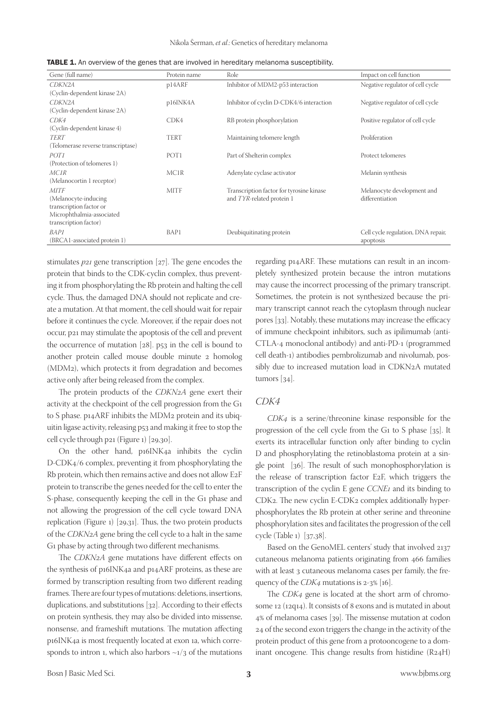| Gene (full name)                   | Protein name     | Role                                     | Impact on cell function            |
|------------------------------------|------------------|------------------------------------------|------------------------------------|
| CDKN2A                             | p14ARF           | Inhibitor of MDM2-p53 interaction        | Negative regulator of cell cycle   |
| (Cyclin-dependent kinase 2A)       |                  |                                          |                                    |
| CDKN2A                             | p16INK4A         | Inhibitor of cyclin D-CDK4/6 interaction | Negative regulator of cell cycle   |
| (Cyclin-dependent kinase 2A)       |                  |                                          |                                    |
| CDK4                               | CDK4             | RB protein phosphorylation               | Positive regulator of cell cycle   |
| (Cyclin-dependent kinase 4)        |                  |                                          |                                    |
| TERT                               | <b>TERT</b>      | Maintaining telomere length              | Proliferation                      |
| (Telomerase reverse transcriptase) |                  |                                          |                                    |
| POT1                               | POT <sub>1</sub> | Part of Shelterin complex                | Protect telomeres                  |
| (Protection of telomeres 1)        |                  |                                          |                                    |
| MCIR                               | MC1R             | Adenylate cyclase activator              | Melanin synthesis                  |
| (Melanocortin 1 receptor)          |                  |                                          |                                    |
| <b>MITF</b>                        | <b>MITF</b>      | Transcription factor for tyrosine kinase | Melanocyte development and         |
| (Melanocyte-inducing)              |                  | and TYR-related protein 1                | differentiation                    |
| transcription factor or            |                  |                                          |                                    |
| Microphthalmia-associated          |                  |                                          |                                    |
| transcription factor)              |                  |                                          |                                    |
| <b>BAP1</b>                        | BAP1             | Deubiquitinating protein                 | Cell cycle regulation, DNA repair, |
| (BRCA1-associated protein 1)       |                  |                                          | apoptosis                          |

TABLE 1. An overview of the genes that are involved in hereditary melanoma susceptibility.

stimulates *p21* gene transcription [27]. The gene encodes the protein that binds to the CDK-cyclin complex, thus preventing it from phosphorylating the Rb protein and halting the cell cycle. Thus, the damaged DNA should not replicate and create a mutation. At that moment, the cell should wait for repair before it continues the cycle. Moreover, if the repair does not occur, p21 may stimulate the apoptosis of the cell and prevent the occurrence of mutation [28]. p53 in the cell is bound to another protein called mouse double minute 2 homolog (MDM2), which protects it from degradation and becomes active only after being released from the complex.

The protein products of the *CDKN2A* gene exert their activity at the checkpoint of the cell progression from the G1 to S phase. p14ARF inhibits the MDM2 protein and its ubiquitin ligase activity, releasing p53 and making it free to stop the cell cycle through p21 (Figure 1) [29,30].

On the other hand, p16INK4a inhibits the cyclin D-CDK4/6 complex, preventing it from phosphorylating the Rb protein, which then remains active and does not allow E2F protein to transcribe the genes needed for the cell to enter the S-phase, consequently keeping the cell in the G1 phase and not allowing the progression of the cell cycle toward DNA replication (Figure 1) [29,31]. Thus, the two protein products of the *CDKN2A* gene bring the cell cycle to a halt in the same G1 phase by acting through two different mechanisms.

The *CDKN2A* gene mutations have different effects on the synthesis of p16INK4a and p14ARF proteins, as these are formed by transcription resulting from two different reading frames. There are four types of mutations: deletions, insertions, duplications, and substitutions [32]. According to their effects on protein synthesis, they may also be divided into missense, nonsense, and frameshift mutations. The mutation affecting p16INK4a is most frequently located at exon 1a, which corresponds to intron 1, which also harbors  $\sim$ 1/3 of the mutations

regarding p14ARF. These mutations can result in an incompletely synthesized protein because the intron mutations may cause the incorrect processing of the primary transcript. Sometimes, the protein is not synthesized because the primary transcript cannot reach the cytoplasm through nuclear pores [33]. Notably, these mutations may increase the efficacy of immune checkpoint inhibitors, such as ipilimumab (anti-CTLA-4 monoclonal antibody) and anti-PD-1 (programmed cell death-1) antibodies pembrolizumab and nivolumab, possibly due to increased mutation load in CDKN2A mutated tumors [34].

#### *CDK4*

*CDK4* is a serine/threonine kinase responsible for the progression of the cell cycle from the G1 to S phase [35]. It exerts its intracellular function only after binding to cyclin D and phosphorylating the retinoblastoma protein at a single point [36]. The result of such monophosphorylation is the release of transcription factor E2F, which triggers the transcription of the cyclin E gene *CCNE1* and its binding to CDK2. The new cyclin E-CDK2 complex additionally hyperphosphorylates the Rb protein at other serine and threonine phosphorylation sites and facilitates the progression of the cell cycle (Table 1) [37,38].

Based on the GenoMEL centers' study that involved 2137 cutaneous melanoma patients originating from 466 families with at least 3 cutaneous melanoma cases per family, the frequency of the *CDK4* mutations is 2-3% [16].

The *CDK4* gene is located at the short arm of chromosome 12 (12q14). It consists of 8 exons and is mutated in about 4% of melanoma cases [39]. The missense mutation at codon 24 of the second exon triggers the change in the activity of the protein product of this gene from a protooncogene to a dominant oncogene. This change results from histidine (R24H)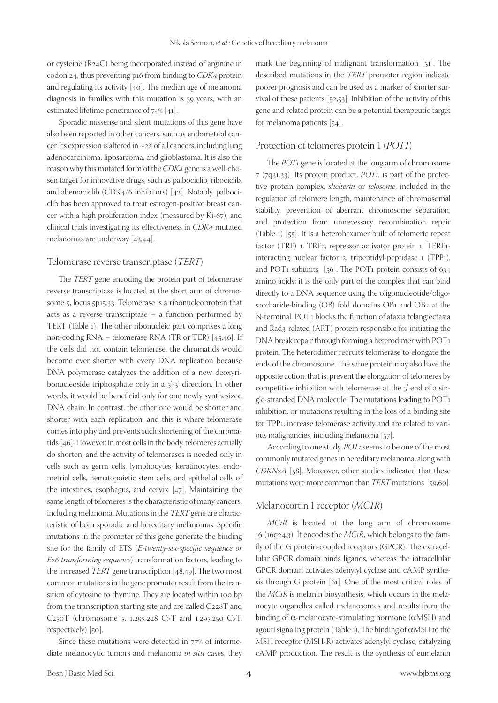or cysteine (R24C) being incorporated instead of arginine in codon 24, thus preventing p16 from binding to *CDK4* protein and regulating its activity [40]. The median age of melanoma diagnosis in families with this mutation is 39 years, with an estimated lifetime penetrance of 74% [41].

Sporadic missense and silent mutations of this gene have also been reported in other cancers, such as endometrial cancer. Its expression is altered in ~2% of all cancers, including lung adenocarcinoma, liposarcoma, and glioblastoma. It is also the reason why this mutated form of the *CDK4* gene is a well-chosen target for innovative drugs, such as palbociclib, ribociclib, and abemaciclib (CDK4/6 inhibitors) [42]. Notably, palbociclib has been approved to treat estrogen-positive breast cancer with a high proliferation index (measured by Ki-67), and clinical trials investigating its effectiveness in *CDK4* mutated melanomas are underway [43,44].

#### Telomerase reverse transcriptase (*TERT*)

The *TERT* gene encoding the protein part of telomerase reverse transcriptase is located at the short arm of chromosome 5, locus 5p15.33. Telomerase is a ribonucleoprotein that acts as a reverse transcriptase – a function performed by TERT (Table 1). The other ribonucleic part comprises a long non-coding RNA – telomerase RNA (TR or TER) [45,46]. If the cells did not contain telomerase, the chromatids would become ever shorter with every DNA replication because DNA polymerase catalyzes the addition of a new deoxyribonucleoside triphosphate only in a 5'-3' direction. In other words, it would be beneficial only for one newly synthesized DNA chain. In contrast, the other one would be shorter and shorter with each replication, and this is where telomerase comes into play and prevents such shortening of the chromatids [46]. However, in most cells in the body, telomeres actually do shorten, and the activity of telomerases is needed only in cells such as germ cells, lymphocytes, keratinocytes, endometrial cells, hematopoietic stem cells, and epithelial cells of the intestines, esophagus, and cervix [47]. Maintaining the same length of telomeres is the characteristic of many cancers, including melanoma. Mutations in the *TERT* gene are characteristic of both sporadic and hereditary melanomas. Specific mutations in the promoter of this gene generate the binding site for the family of ETS (*E-twenty-six-specific sequence or E26 transforming sequence*) transformation factors, leading to the increased *TERT* gene transcription [48,49]. The two most common mutations in the gene promoter result from the transition of cytosine to thymine. They are located within 100 bp from the transcription starting site and are called C228T and C250T (chromosome 5, 1,295,228 C>T and 1,295,250 C>T, respectively) [50].

Since these mutations were detected in 77% of intermediate melanocytic tumors and melanoma *in situ* cases, they mark the beginning of malignant transformation [51]. The described mutations in the *TERT* promoter region indicate poorer prognosis and can be used as a marker of shorter survival of these patients [52,53]. Inhibition of the activity of this gene and related protein can be a potential therapeutic target for melanoma patients [54].

#### Protection of telomeres protein 1 (*POT1*)

The *POT1* gene is located at the long arm of chromosome 7 (7q31.33). Its protein product, *POT1*, is part of the protective protein complex, *shelterin* or *telosome*, included in the regulation of telomere length, maintenance of chromosomal stability, prevention of aberrant chromosome separation, and protection from unnecessary recombination repair (Table 1) [55]. It is a heterohexamer built of telomeric repeat factor (TRF) 1, TRF2, repressor activator protein 1, TERF1 interacting nuclear factor 2, tripeptidyl-peptidase 1 (TPP1), and POT1 subunits [56]. The POT1 protein consists of 634 amino acids; it is the only part of the complex that can bind directly to a DNA sequence using the oligonucleotide/oligosaccharide-binding (OB) fold domains OB1 and OB2 at the N-terminal. POT1 blocks the function of ataxia telangiectasia and Rad3-related (ART) protein responsible for initiating the DNA break repair through forming a heterodimer with POT1 protein. The heterodimer recruits telomerase to elongate the ends of the chromosome. The same protein may also have the opposite action, that is, prevent the elongation of telomeres by competitive inhibition with telomerase at the 3' end of a single-stranded DNA molecule. The mutations leading to POT1 inhibition, or mutations resulting in the loss of a binding site for TPP1, increase telomerase activity and are related to various malignancies, including melanoma [57].

According to one study, *POT1* seems to be one of the most commonly mutated genes in hereditary melanoma, along with *CDKN2A* [58]. Moreover, other studies indicated that these mutations were more common than *TERT* mutations [59,60].

#### Melanocortin 1 receptor (*MC1R*)

*MC1R* is located at the long arm of chromosome 16 (16q24.3). It encodes the *MC1R*, which belongs to the family of the G protein-coupled receptors (GPCR). The extracellular GPCR domain binds ligands, whereas the intracellular GPCR domain activates adenylyl cyclase and cAMP synthesis through G protein [61]. One of the most critical roles of the *MC1R* is melanin biosynthesis, which occurs in the melanocyte organelles called melanosomes and results from the binding of  $\alpha$ -melanocyte-stimulating hormone ( $\alpha$ MSH) and agouti signaling protein (Table 1). The binding of  $\alpha$ MSH to the MSH receptor (MSH-R) activates adenylyl cyclase, catalyzing cAMP production. The result is the synthesis of eumelanin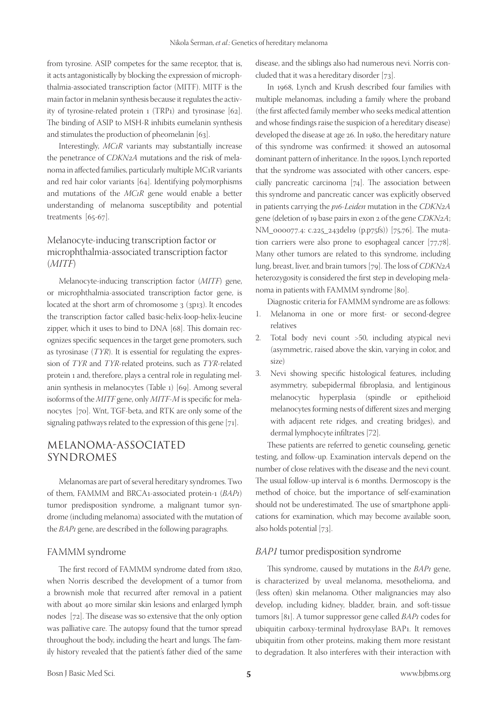from tyrosine. ASIP competes for the same receptor, that is, it acts antagonistically by blocking the expression of microphthalmia-associated transcription factor (MITF). MITF is the main factor in melanin synthesis because it regulates the activity of tyrosine-related protein 1 (TRP1) and tyrosinase [62]. The binding of ASIP to MSH-R inhibits eumelanin synthesis and stimulates the production of pheomelanin [63].

Interestingly, *MC1R* variants may substantially increase the penetrance of *CDKN2A* mutations and the risk of melanoma in affected families, particularly multiple MC1R variants and red hair color variants [64]. Identifying polymorphisms and mutations of the *MC1R* gene would enable a better understanding of melanoma susceptibility and potential treatments [65-67].

## Melanocyte-inducing transcription factor or microphthalmia-associated transcription factor (*MITF*)

Melanocyte-inducing transcription factor (*MITF*) gene, or microphthalmia-associated transcription factor gene, is located at the short arm of chromosome 3 (3p13). It encodes the transcription factor called basic-helix-loop-helix-leucine zipper, which it uses to bind to DNA [68]. This domain recognizes specific sequences in the target gene promoters, such as tyrosinase (*TYR*). It is essential for regulating the expression of *TYR* and *TYR*-related proteins, such as *TYR*-related protein 1 and, therefore, plays a central role in regulating melanin synthesis in melanocytes (Table 1) [69]. Among several isoforms of the *MITF* gene, only *MITF-M* is specific for melanocytes [70]. Wnt, TGF-beta, and RTK are only some of the signaling pathways related to the expression of this gene [71].

# MELANOMA-ASSOCIATED SYNDROMES

Melanomas are part of several hereditary syndromes. Two of them, FAMMM and BRCA1-associated protein-1 (*BAP1*) tumor predisposition syndrome, a malignant tumor syndrome (including melanoma) associated with the mutation of the *BAP1* gene, are described in the following paragraphs.

### FAMMM syndrome

The first record of FAMMM syndrome dated from 1820, when Norris described the development of a tumor from a brownish mole that recurred after removal in a patient with about 40 more similar skin lesions and enlarged lymph nodes [72]. The disease was so extensive that the only option was palliative care. The autopsy found that the tumor spread throughout the body, including the heart and lungs. The family history revealed that the patient's father died of the same

disease, and the siblings also had numerous nevi. Norris concluded that it was a hereditary disorder [73].

In 1968, Lynch and Krush described four families with multiple melanomas, including a family where the proband (the first affected family member who seeks medical attention and whose findings raise the suspicion of a hereditary disease) developed the disease at age 26. In 1980, the hereditary nature of this syndrome was confirmed: it showed an autosomal dominant pattern of inheritance. In the 1990s, Lynch reported that the syndrome was associated with other cancers, especially pancreatic carcinoma [74]. The association between this syndrome and pancreatic cancer was explicitly observed in patients carrying the *p16-Leiden* mutation in the *CDKN2A* gene (deletion of 19 base pairs in exon 2 of the gene *CDKN2A*; NM\_000077.4: c.225\_243del19 (p.p75fs)) [75,76]. The mutation carriers were also prone to esophageal cancer [77,78]. Many other tumors are related to this syndrome, including lung, breast, liver, and brain tumors [79]. The loss of *CDKN2A* heterozygosity is considered the first step in developing melanoma in patients with FAMMM syndrome [80].

Diagnostic criteria for FAMMM syndrome are as follows:

- 1. Melanoma in one or more first- or second-degree relatives
- 2. Total body nevi count >50, including atypical nevi (asymmetric, raised above the skin, varying in color, and size)
- 3. Nevi showing specific histological features, including asymmetry, subepidermal fibroplasia, and lentiginous melanocytic hyperplasia (spindle or epithelioid melanocytes forming nests of different sizes and merging with adjacent rete ridges, and creating bridges), and dermal lymphocyte infiltrates [72].

These patients are referred to genetic counseling, genetic testing, and follow-up. Examination intervals depend on the number of close relatives with the disease and the nevi count. The usual follow-up interval is 6 months. Dermoscopy is the method of choice, but the importance of self-examination should not be underestimated. The use of smartphone applications for examination, which may become available soon, also holds potential [73].

#### *BAP1* tumor predisposition syndrome

This syndrome, caused by mutations in the *BAP1* gene, is characterized by uveal melanoma, mesothelioma, and (less often) skin melanoma. Other malignancies may also develop, including kidney, bladder, brain, and soft-tissue tumors [81]. A tumor suppressor gene called *BAP1* codes for ubiquitin carboxy-terminal hydroxylase BAP1. It removes ubiquitin from other proteins, making them more resistant to degradation. It also interferes with their interaction with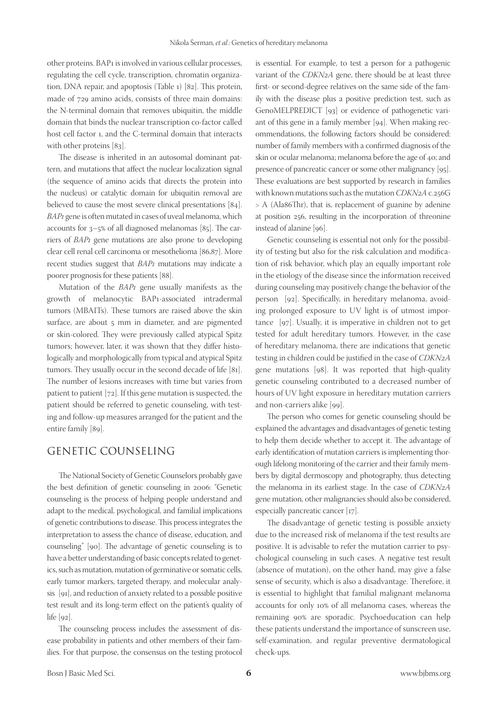other proteins. BAP1 is involved in various cellular processes, regulating the cell cycle, transcription, chromatin organization, DNA repair, and apoptosis (Table 1) [82]. This protein, made of 729 amino acids, consists of three main domains: the N-terminal domain that removes ubiquitin, the middle domain that binds the nuclear transcription co-factor called host cell factor 1, and the C-terminal domain that interacts with other proteins [83].

The disease is inherited in an autosomal dominant pattern, and mutations that affect the nuclear localization signal (the sequence of amino acids that directs the protein into the nucleus) or catalytic domain for ubiquitin removal are believed to cause the most severe clinical presentations [84]. *BAP1* gene is often mutated in cases of uveal melanoma, which accounts for 3–5% of all diagnosed melanomas [85]. The carriers of *BAP1* gene mutations are also prone to developing clear cell renal cell carcinoma or mesothelioma [86,87]. More recent studies suggest that *BAP1* mutations may indicate a poorer prognosis for these patients [88].

Mutation of the *BAP1* gene usually manifests as the growth of melanocytic BAP1-associated intradermal tumors (MBAITs). These tumors are raised above the skin surface, are about 5 mm in diameter, and are pigmented or skin-colored. They were previously called atypical Spitz tumors; however, later, it was shown that they differ histologically and morphologically from typical and atypical Spitz tumors. They usually occur in the second decade of life [81]. The number of lesions increases with time but varies from patient to patient [72]. If this gene mutation is suspected, the patient should be referred to genetic counseling, with testing and follow-up measures arranged for the patient and the entire family [89].

## GENETIC COUNSELING

The National Society of Genetic Counselors probably gave the best definition of genetic counseling in 2006: "Genetic counseling is the process of helping people understand and adapt to the medical, psychological, and familial implications of genetic contributions to disease. This process integrates the interpretation to assess the chance of disease, education, and counseling" [90]. The advantage of genetic counseling is to have a better understanding of basic concepts related to genetics, such as mutation, mutation of germinative or somatic cells, early tumor markers, targeted therapy, and molecular analysis [91], and reduction of anxiety related to a possible positive test result and its long-term effect on the patient's quality of life [92].

The counseling process includes the assessment of disease probability in patients and other members of their families. For that purpose, the consensus on the testing protocol is essential. For example, to test a person for a pathogenic variant of the *CDKN2A* gene, there should be at least three first- or second-degree relatives on the same side of the family with the disease plus a positive prediction test, such as GenoMELPREDICT [93] or evidence of pathogenetic variant of this gene in a family member [94]. When making recommendations, the following factors should be considered: number of family members with a confirmed diagnosis of the skin or ocular melanoma; melanoma before the age of 40; and presence of pancreatic cancer or some other malignancy [95]. These evaluations are best supported by research in families with known mutations such as the mutation *CDKN2A* c.256G > A (Ala86Thr), that is, replacement of guanine by adenine at position 256, resulting in the incorporation of threonine instead of alanine [96].

Genetic counseling is essential not only for the possibility of testing but also for the risk calculation and modification of risk behavior, which play an equally important role in the etiology of the disease since the information received during counseling may positively change the behavior of the person [92]. Specifically, in hereditary melanoma, avoiding prolonged exposure to UV light is of utmost importance [97]. Usually, it is imperative in children not to get tested for adult hereditary tumors. However, in the case of hereditary melanoma, there are indications that genetic testing in children could be justified in the case of *CDKN2A* gene mutations [98]. It was reported that high-quality genetic counseling contributed to a decreased number of hours of UV light exposure in hereditary mutation carriers and non-carriers alike [99].

The person who comes for genetic counseling should be explained the advantages and disadvantages of genetic testing to help them decide whether to accept it. The advantage of early identification of mutation carriers is implementing thorough lifelong monitoring of the carrier and their family members by digital dermoscopy and photography, thus detecting the melanoma in its earliest stage. In the case of *CDKN2A* gene mutation, other malignancies should also be considered, especially pancreatic cancer [17].

The disadvantage of genetic testing is possible anxiety due to the increased risk of melanoma if the test results are positive. It is advisable to refer the mutation carrier to psychological counseling in such cases. A negative test result (absence of mutation), on the other hand, may give a false sense of security, which is also a disadvantage. Therefore, it is essential to highlight that familial malignant melanoma accounts for only 10% of all melanoma cases, whereas the remaining 90% are sporadic. Psychoeducation can help these patients understand the importance of sunscreen use, self-examination, and regular preventive dermatological check-ups.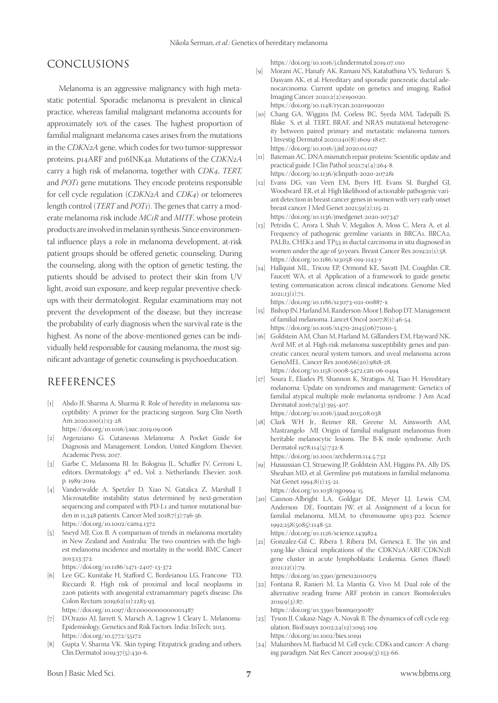## CONCLUSIONS

Melanoma is an aggressive malignancy with high metastatic potential. Sporadic melanoma is prevalent in clinical practice, whereas familial malignant melanoma accounts for approximately 10% of the cases. The highest proportion of familial malignant melanoma cases arises from the mutations in the *CDKN2A* gene, which codes for two tumor-suppressor proteins, p14ARF and p16INK4a. Mutations of the *CDKN2A* carry a high risk of melanoma, together with *CDK4*, *TERT,* and *POT1* gene mutations. They encode proteins responsible for cell cycle regulation (*CDKN2A* and *CDK4*) or telomeres length control (*TERT* and *POT1*). The genes that carry a moderate melanoma risk include *MC1R* and *MITF*, whose protein products are involved in melanin synthesis. Since environmental influence plays a role in melanoma development, at-risk patient groups should be offered genetic counseling. During the counseling, along with the option of genetic testing, the patients should be advised to protect their skin from UV light, avoid sun exposure, and keep regular preventive checkups with their dermatologist. Regular examinations may not prevent the development of the disease, but they increase the probability of early diagnosis when the survival rate is the highest. As none of the above-mentioned genes can be individually held responsible for causing melanoma, the most significant advantage of genetic counseling is psychoeducation.

## REFERENCES

- [1] Abdo JF, Sharma A, Sharma R. Role of heredity in melanoma susceptibility: A primer for the practicing surgeon. Surg Clin North Am 2020;100(1):13-28. https://doi.org/10.1016/j.suc.2019.09.006
- [2] Argenziano G. Cutaneous Melanoma: A Pocket Guide for Diagnosis and Management. London, United Kingdom: Elsevier, Academic Press; 2017.
- [3] Garbe C, Melanoma BJ. In: Bolognia JL, Schaffer JV, Cerroni L, editors. Dermatology. 4<sup>th</sup> ed., Vol. 2. Netherlands: Elsevier; 2018. p. 1989-2019.
- [4] Vanderwalde A, Spetzler D, Xiao N, Gatalica Z, Marshall J. Microsatellite instability status determined by next-generation sequencing and compared with PD-L1 and tumor mutational burden in 11,348 patients. Cancer Med 2018;7(3):746-56. https://doi.org/10.1002/cam4.1372
- [5] Sneyd MJ, Cox B. A comparison of trends in melanoma mortality in New Zealand and Australia: The two countries with the highest melanoma incidence and mortality in the world. BMC Cancer 2013;13:372.

https://doi.org/10.1186/1471-2407-13-372

- [6] Lee GC, Kunitake H, Stafford C, Bordeianou LG, Francone TD, Ricciardi R. High risk of proximal and local neoplasms in 2206 patients with anogenital extramammary paget's disease. Dis Colon Rectum 2019;62(11):1283-93. https://doi.org/10.1097/dcr.0000000000001487
- [7] D'Orazio AJ, Jarrett S, Marsch A, Lagrew J, Cleary L. Melanoma-Epidemiology, Genetics and Risk Factors. India: InTech; 2013. https://doi.org/10.5772/55172
- Gupta V, Sharma VK. Skin typing: Fitzpatrick grading and others. Clin Dermatol 2019;37(5):430-6.

https://doi.org/10.1016/j.clindermatol.2019.07.010

- [9] Morani AC, Hanafy AK, Ramani NS, Katabathina VS, Yedururi S, Dasyam AK, et al. Hereditary and sporadic pancreatic ductal adenocarcinoma: Current update on genetics and imaging. Radiol Imaging Cancer 2020;2(2):e190020. https://doi.org/10.1148/rycan.2020190020
- [10] Chang GA, Wiggins JM, Corless BC, Syeda MM, Tadepalli JS, Blake S, et al. TERT, BRAF, and NRAS mutational heterogeneity between paired primary and metastatic melanoma tumors. J Investig Dermatol 2020;140(8):1609-18.e7. https://doi.org/10.1016/j.jid.2020.01.027
- [11] Bateman AC. DNA mismatch repair proteins: Scientific update and practical guide. J Clin Pathol 2021;74(4):264-8. https://doi.org/10.1136/jclinpath-2020-207281
- [12] Evans DG, van Veen EM, Byers HJ, Evans SJ, Burghel GJ, Woodward ER, et al. High likelihood of actionable pathogenic variant detection in breast cancer genes in women with very early onset breast cancer. J Med Genet 2021;59(2):115-21. https://doi.org/10.1136/jmedgenet-2020-107347
- [13] Petridis C, Arora I, Shah V, Megalios A, Moss C, Mera A, et al. Frequency of pathogenic germline variants in BRCA1, BRCA2, PALB<sub>2</sub>, CHEK<sub>2</sub> and TP<sub>53</sub> in ductal carcinoma in situ diagnosed in women under the age of 50years. Breast Cancer Res 2019;21(1):58. https://doi.org/10.1186/s13058-019-1143-y
- [14] Hallquist ML, Tricou EP, Ormond KE, Savatt JM, Coughlin CR, Faucett WA, et al. Application of a framework to guide genetic testing communication across clinical indications. Genome Med  $2021:13(1):71.$

https://doi.org/10.1186/s13073-021-00887-x

- [15] Bishop JN, Harland M, Randerson-Moor J, Bishop DT. Management of familial melanoma. Lancet Oncol 2007;8(1):46-54. [https://doi.org/10.1016/s1470-2045\(06\)71010-5](https://doi.org/10.1016/s1470-2045(06)71010-5)
- [16] Goldstein AM, Chan M, Harland M, Gillanders EM, Hayward NK, Avril MF, et al. High-risk melanoma susceptibility genes and pancreatic cancer, neural system tumors, and uveal melanoma across GenoMEL. Cancer Res 2006;66(20):9818-28. https://doi.org/10.1158/0008-5472.can-06-0494
- [17] Soura E, Eliades PJ, Shannon K, Stratigos AJ, Tsao H. Hereditary melanoma: Update on syndromes and management: Genetics of familial atypical multiple mole melanoma syndrome. J Am Acad Dermatol 2016;74(3):395-407. https://doi.org/10.1016/j.jaad.2015.08.038
- [18] Clark WH Jr., Reimer RR, Greene M, Ainsworth AM, Mastrangelo MJ. Origin of familial malignant melanomas from heritable melanocytic lesions. The B-K mole syndrome. Arch Dermatol 1978;114(5):732-8. https://doi.org/10.1001/archderm.114.5.732
- [19] Hussussian CJ, Struewing JP, Goldstein AM, Higgins PA, Ally DS, Sheahan MD, et al. Germline p16 mutations in familial melanoma. Nat Genet 1994;8(1):15-21. https://doi.org/10.1038/ng0994-15
- [20] Cannon-Albright LA, Goldgar DE, Meyer LJ, Lewis CM, Anderson DE, Fountain JW, et al. Assignment of a locus for familial melanoma, MLM, to chromosome 9p13-p22. Science 1992;258(5085):1148-52.
	- https://doi.org/10.1126/science.1439824
- [21] González-Gil C, Ribera J, Ribera JM, Genescà E. The yin and yang-like clinical implications of the CDKN2A/ARF/CDKN2B gene cluster in acute lymphoblastic Leukemia. Genes (Basel) 2021;12(1):79.

https://doi.org/10.3390/genes12010079

[22] Fontana R, Ranieri M, La Mantia G, Vivo M. Dual role of the alternative reading frame ARF protein in cancer. Biomolecules 2019;9(3):87.

https://doi.org/10.3390/biom9030087

- [23] Tyson JJ, Csikasz-Nagy A, Novak B. The dynamics of cell cycle regulation. BioEssays 2002;24(12):1095-109. https://doi.org/10.1002/bies.10191
- [24] Malumbres M, Barbacid M. Cell cycle, CDKs and cancer: A changing paradigm. Nat Rev Cancer 2009;9(3):153-66.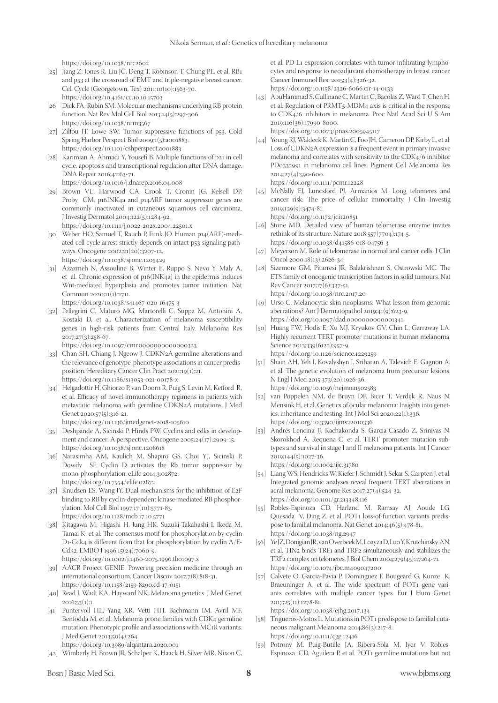https://doi.org/10.1038/nrc2602

- [25] Jiang Z, Jones R, Liu JC, Deng T, Robinson T, Chung PE, et al. RB1 and p53 at the crossroad of EMT and triple-negative breast cancer. Cell Cycle (Georgetown, Tex) 2011;10(10):1563-70. https://doi.org/10.4161/cc.10.10.15703
- [26] Dick FA, Rubin SM. Molecular mechanisms underlying RB protein function. Nat Rev Mol Cell Biol 2013;14(5):297-306. https://doi.org/10.1038/nrm3567
- [27] Zilfou JT, Lowe SW. Tumor suppressive functions of p53. Cold Spring Harbor Perspect Biol 2009;1(5):a001883. https://doi.org/10.1101/cshperspect.a001883
- [28] Karimian A, Ahmadi Y, Yousefi B. Multiple functions of p21 in cell cycle, apoptosis and transcriptional regulation after DNA damage. DNA Repair 2016;42:63-71.
- https://doi.org/10.1016/j.dnarep.2016.04.008 [29] Brown VL, Harwood CA, Crook T, Cronin JG, Kelsell DP,
- Proby CM. p16INK4a and p14ARF tumor suppressor genes are commonly inactivated in cutaneous squamous cell carcinoma. J Investig Dermatol 2004;122(5):1284-92. https://doi.org/10.1111/j.0022-202x.2004.22501.x
- [30] Weber HO, Samuel T, Rauch P, Funk JO. Human p14(ARF)-mediated cell cycle arrest strictly depends on intact p53 signaling pathways. Oncogene 2002;21(20):3207-12. https://doi.org/10.1038/sj.onc.1205429
- [31] Azazmeh N, Assouline B, Winter E, Ruppo S, Nevo Y, Maly A, et al. Chronic expression of p16(INK4a) in the epidermis induces Wnt-mediated hyperplasia and promotes tumor initiation. Nat Commun 2020;11(1):2711.
	- https://doi.org/10.1038/s41467-020-16475-3
- [32] Pellegrini C, Maturo MG, Martorelli C, Suppa M, Antonini A, Kostaki D, et al. Characterization of melanoma susceptibility genes in high-risk patients from Central Italy. Melanoma Res 2017;27(3):258-67.

https://doi.org/10.1097/cmr.0000000000000323

- [33] Chan SH, Chiang J, Ngeow J. CDKN2A germline alterations and the relevance of genotype-phenotype associations in cancer predisposition. Hereditary Cancer Clin Pract 2021;19(1):21. https://doi.org/10.1186/s13053-021-00178-x
- [34] Helgadottir H, Ghiorzo P, van Doorn R, Puig S, Levin M, Kefford R, et al. Efficacy of novel immunotherapy regimens in patients with metastatic melanoma with germline CDKN2A mutations. J Med Genet 2020;57(5):316-21.

https://doi.org/10.1136/jmedgenet-2018-105610

- [35] Deshpande A, Sicinski P, Hinds PW. Cyclins and cdks in development and cancer: A perspective. Oncogene 2005;24(17):2909-15. https://doi.org/10.1038/sj.onc.1208618
- [36] Narasimha AM, Kaulich M, Shapiro GS, Choi YJ, Sicinski P, Dowdy SF. Cyclin D activates the Rb tumor suppressor by mono-phosphorylation. eLife 2014;3:02872. https://doi.org/10.7554/elife.02872
- [37] Knudsen ES, Wang JY. Dual mechanisms for the inhibition of E2F binding to RB by cyclin-dependent kinase-mediated RB phosphorylation. Mol Cell Biol 1997;17(10):5771-83. https://doi.org/10.1128/mcb.17.10.5771
- [38] Kitagawa M, Higashi H, Jung HK, Suzuki-Takahashi I, Ikeda M, Tamai K, et al. The consensus motif for phosphorylation by cyclin D1-Cdk4 is different from that for phosphorylation by cyclin A/E-Cdk2. EMBO J 1996;15(24):7060-9.

https://doi.org/10.1002/j.1460-2075.1996.tb01097.x

- [39] AACR Project GENIE. Powering precision medicine through an international consortium. Cancer Discov 2017;7(8):818-31. https://doi.org/10.1158/2159-8290.cd-17-0151
- [40] Read J, Wadt KA, Hayward NK. Melanoma genetics. J Med Genet  $2016$ ; $53(1)$ :1.
- [41] Puntervoll HE, Yang XR, Vetti HH, Bachmann IM, Avril MF, Benfodda M, et al. Melanoma prone families with CDK4 germline mutation: Phenotypic profile and associations with MC1R variants. J Med Genet 2013;50(4):264.

https://doi.org/10.3989/alqantara.2020.001

[42] Wimberly H, Brown JR, Schalper K, Haack H, Silver MR, Nixon C,

et al. PD-L1 expression correlates with tumor-infiltrating lymphocytes and response to neoadjuvant chemotherapy in breast cancer. Cancer Immunol Res. 2015;3(4):326-32. https://doi.org/10.1158/2326-6066.cir-14-0133

[43] AbuHammad S, Cullinane C, Martin C, Bacolas Z, Ward T, Chen H,

et al. Regulation of PRMT5-MDM4 axis is critical in the response to CDK4/6 inhibitors in melanoma. Proc Natl Acad Sci U S Am 2019;116(36):17990-8000.

https://doi.org/10.1073/pnas.2005945117

[44] Young RJ, Waldeck K, Martin C, Foo JH, Cameron DP, Kirby L, et al. Loss of CDKN2A expression is a frequent event in primary invasive melanoma and correlates with sensitivity to the CDK4/6 inhibitor PD0332991 in melanoma cell lines. Pigment Cell Melanoma Res 2014;27(4):590-600.

https://doi.org/10.1111/pcmr.12228

[45] McNally EJ, Luncsford PJ, Armanios M. Long telomeres and cancer risk: The price of cellular immortality. J Clin Investig 2019;129(9):3474-81. https://doi.org/10.1172/jci120851

[46] Stone MD. Detailed view of human telomerase enzyme invites

- rethink of its structure. Nature 2018;557(7704):174-5. https://doi.org/10.1038/d41586-018-04756-3
- [47] Meyerson M. Role of telomerase in normal and cancer cells. J Clin Oncol 2000;18(13):2626-34.
- [48] Sizemore GM, Pitarresi JR, Balakrishnan S, Ostrowski MC. The ETS family of oncogenic transcription factors in solid tumours. Nat Rev Cancer 2017;17(6):337-51. https://doi.org/10.1038/nrc.2017.20
- [49] Urso C. Melanocytic skin neoplasms: What lesson from genomic aberrations? Am J Dermatopathol 2019;41(9):623-9. https://doi.org/10.1097/dad.0000000000001341
- [50] Huang FW, Hodis E, Xu MJ, Kryukov GV, Chin L, Garraway LA. Highly recurrent TERT promoter mutations in human melanoma. Science 2013;339(6122):957-9. https://doi.org/10.1126/science.1229259
- [51] Shain AH, Yeh I, Kovalyshyn I, Sriharan A, Talevich E, Gagnon A, et al. The genetic evolution of melanoma from precursor lesions. N Engl J Med 2015;373(20):1926-36. https://doi.org/10.1056/nejmoa1502583
- [52] van Poppelen NM, de Bruyn DP, Bicer T, Verdijk R, Naus N, Mensink H, et al. Genetics of ocular melanoma: Insights into genetics, inheritance and testing. Int J Mol Sci 2020;22(1):336. https://doi.org/10.3390/ijms22010336
- [53] Andrés-Lencina JJ, Rachakonda S, García-Casado Z, Srinivas N, Skorokhod A, Requena C, et al. TERT promoter mutation subtypes and survival in stage I and II melanoma patients. Int J Cancer 2019;144(5):1027-36. https://doi.org/10.1002/ijc.31780
- [54] Liang WS, Hendricks W, Kiefer J, Schmidt J, Sekar S, Carpten J, et al. Integrated genomic analyses reveal frequent TERT aberrations in acral melanoma. Genome Res 2017;27(4):524-32. https://doi.org/10.1101/gr.213348.116
- [55] Robles-Espinoza CD, Harland M, Ramsay AJ, Aoude LG, Quesada V, Ding Z, et al. POT1 loss-of-function variants predispose to familial melanoma. Nat Genet 2014;46(5):478-81. https://doi.org/10.1038/ng.2947
- [56] Ye JZ, Donigian JR, van Overbeek M, Loayza D, Luo Y, Krutchinsky AN, et al. TIN2 binds TRF1 and TRF2 simultaneously and stabilizes the TRF2 complex on telomeres. J Biol Chem 2004;279(45):47264-71. https://doi.org/10.1074/jbc.m409047200
- [57] Calvete O, Garcia-Pavia P, Domínguez F, Bougeard G, Kunze K, Braeuninger A, et al. The wide spectrum of POT1 gene variants correlates with multiple cancer types. Eur J Hum Genet 2017;25(11):1278-81.

https://doi.org/10.1038/ejhg.2017.134

- [58] Trigueros-Motos L. Mutations in POT1 predispose to familial cutaneous malignant Melanoma 2014;86(3):217-8. https://doi.org/10.1111/cge.12416
- [59] Potrony M, Puig-Butille JA, Ribera-Sola M, Iyer V, Robles-Espinoza CD, Aguilera P, et al. POT1 germline mutations but not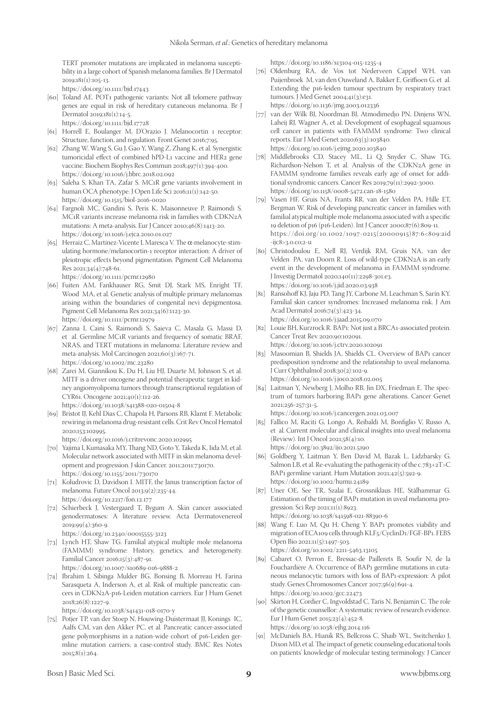TERT promoter mutations are implicated in melanoma susceptibility in a large cohort of Spanish melanoma families. Br J Dermatol 2019;181(1):105-13.

https://doi.org/10.1111/bjd.17443

- [60] Toland AE. POT1 pathogenic variants: Not all telomere pathway genes are equal in risk of hereditary cutaneous melanoma. Br J Dermatol 2019;181(1):14-5. https://doi.org/10.1111/bjd.17728
- [61] Horrell E, Boulanger M, D'Orazio J. Melanocortin 1 receptor: Structure, function, and regulation. Front Genet 2016;7:95.
- [62] Zhang W, Wang S, Gu J, Gao Y, Wang Z, Zhang K, et al. Synergistic tumoricidal effect of combined hPD-L1 vaccine and HER2 gene vaccine. Biochem Biophys Res Commun 2018;497(1):394-400. https://doi.org/10.1016/j.bbrc.2018.02.092
- [63] Saleha S, Khan TA, Zafar S. MC1R gene variants involvement in human OCA phenotype. J Open Life Sci 2016;11(1):142-50. https://doi.org/10.1515/biol-2016-0020
- [64] Fargnoli MC, Gandini S, Peris K, Maisonneuve P, Raimondi S. MC1R variants increase melanoma risk in families with CDKN2A mutations: A meta-analysis. Eur J Cancer 2010;46(8):1413-20. https://doi.org/10.1016/j.ejca.2010.01.027
- [65] Herraiz C, Martínez-Vicente I, Maresca V. The  $\alpha$ -melanocyte-stimulating hormone/melanocortin-1 receptor interaction: A driver of pleiotropic effects beyond pigmentation. Pigment Cell Melanoma Res 2021;34(4):748-61. https://doi.org/10.1111/pcmr.12980
- [66] Fuiten AM, Fankhauser RG, Smit DJ, Stark MS, Enright TF, Wood MA, et al. Genetic analysis of multiple primary melanomas arising within the boundaries of congenital nevi depigmentosa. Pigment Cell Melanoma Res 2021;34(6):1123-30. https://doi.org/10.1111/pcmr.12979
- [67] Zanna I, Caini S, Raimondi S, Saieva C, Masala G, Massi D, et al. Germline MC1R variants and frequency of somatic BRAF, NRAS, and TERT mutations in melanoma: Literature review and meta-analysis. Mol Carcinogen 2021;60(3):167-71. https://doi.org/10.1002/mc.23280
- [68] Zarei M, Giannikou K, Du H, Liu HJ, Duarte M, Johnson S, et al. MITF is a driver oncogene and potential therapeutic target in kidney angiomyolipoma tumors through transcriptional regulation of CYR61. Oncogene 2021;40(1):112-26. https://doi.org/10.1038/s41388-020-01504-8
- [69] Bristot IJ, Kehl Dias C, Chapola H, Parsons RB, Klamt F. Metabolic rewiring in melanoma drug-resistant cells. Crit Rev Oncol Hematol 2020;153:102995.

https://doi.org/10.1016/j.critrevonc.2020.102995

- [70] Yajima I, Kumasaka MY, Thang ND, Goto Y, Takeda K, Iida M, et al. Molecular network associated with MITF in skin melanoma development and progression. J skin Cancer. 2011;2011:730170. https://doi.org/10.1155/2011/730170
- [71] Koludrovic D, Davidson I. MITF, the Janus transcription factor of melanoma. Future Oncol 2013;9(2):235-44. https://doi.org/10.2217/fon.12.177
- [72] Schierbeck J, Vestergaard T, Bygum A. Skin cancer associated genodermatoses: A literature review. Acta Dermatovenereol 2019;99(4):360-9.
	- https://doi.org/10.2340/00015555-3123
- [73] Lynch HT, Shaw TG. Familial atypical multiple mole melanoma (FAMMM) syndrome: History, genetics, and heterogeneity. Familial Cancer 2016;15(3):487-91. https://doi.org/10.1007/s10689-016-9888-2
- [74] Ibrahim I, Sibinga Mulder BG, Bonsing B, Morreau H, Farina Sarasqueta A, Inderson A, et al. Risk of multiple pancreatic cancers in CDKN2A-p16-Leiden mutation carriers. Eur J Hum Genet 2018;26(8):1227-9.

https://doi.org/10.1038/s41431-018-0170-y

[75] Potjer TP, van der Stoep N, Houwing-Duistermaat JJ, Konings IC, Aalfs CM, van den Akker PC, et al. Pancreatic cancer-associated gene polymorphisms in a nation-wide cohort of p16-Leiden germline mutation carriers; a case-control study. BMC Res Notes 2015;8(1):264.

https://doi.org/10.1186/s13104-015-1235-4

- [76] Oldenburg RA, de Vos tot Nederveen Cappel WH, van Puijenbroek M, van den Ouweland A, Bakker E, Griffioen G, et al. Extending the p16-leiden tumour spectrum by respiratory tract tumours. J Med Genet 2004;41(3):e31. https://doi.org/10.1136/jmg.2003.012336
- [77] van der Wilk BJ, Noordman BJ, Atmodimedjo PN, Dinjens WN, Laheij RJ, Wagner A, et al. Development of esophageal squamous cell cancer in patients with FAMMM syndrome: Two clinical reports. Eur J Med Genet 2020;63(3):103840. https://doi.org/10.1016/j.ejmg.2020.103840
- [78] Middlebrooks CD, Stacey ML, Li Q, Snyder C, Shaw TG, Richardson-Nelson T, et al. Analysis of the CDKN2A gene in FAMMM syndrome families reveals early age of onset for additional syndromic cancers. Cancer Res 2019;79(11):2992-3000. https://doi.org/10.1158/0008-5472.can-18-1580
- [79] Vasen HF, Gruis NA, Frants RR, van der Velden PA, Hille ET, Bergman W. Risk of developing pancreatic cancer in families with familial atypical multiple mole melanoma associated with a specific 19 deletion of p16 (p16-Leiden). Int J Cancer 2000;87(6):809-11. [https://doi.org/10.1002/1097-0215\(](https://doi.org/10.1002/1097-0215(20000915)87:6<809:aid
-ijc8>3.0.co;2-u)20000915)87:6<809:aid -ijc8>3.0.co;2-u
- [80] Christodoulou E, Nell RJ, Verdijk RM, Gruis NA, van der Velden PA, van Doorn R. Loss of wild-type CDKN2A is an early event in the development of melanoma in FAMMM syndrome. J Investig Dermatol 2020;140(11):2298-301.e3. https://doi.org/10.1016/j.jid.2020.03.938
- [81] Ransohoff KJ, Jaju PD, Tang JY, Carbone M, Leachman S, Sarin KY. Familial skin cancer syndromes: Increased melanoma risk. J Am Acad Dermatol 2016;74(3):423-34. https://doi.org/10.1016/j.jaad.2015.09.070
- [82] Louie BH, Kurzrock R. BAP1: Not just a BRCA1-associated protein. Cancer Treat Rev 2020;90:102091. https://doi.org/10.1016/j.ctrv.2020.102091
- [83] Masoomian B, Shields JA, Shields CL. Overview of BAP1 cancer predisposition syndrome and the relationship to uveal melanoma. J Curr Ophthalmol 2018;30(2):102-9. https://doi.org/10.1016/j.joco.2018.02.005
- [84] Laitman Y, Newberg J, Molho RB, Jin DX, Friedman E. The spectrum of tumors harboring BAP1 gene alterations. Cancer Genet 2021;256-257:31-5.

https://doi.org/10.1016/j.cancergen.2021.03.007

- [85] Fallico M, Raciti G, Longo A, Reibaldi M, Bonfiglio V, Russo A, et al. Current molecular and clinical insights into uveal melanoma (Review). Int J Oncol 2021;58(4):10. https://doi.org/10.3892/ijo.2021.5190
- [86] Goldberg Y, Laitman Y, Ben David M, Bazak L, Lidzbarsky G, Salmon LB, et al. Re-evaluating the pathogenicity of the c.783+2T>C BAP1 germline variant. Hum Mutation 2021;42(5):592-9. https://doi.org/10.1002/humu.24189
- [87] Uner OE, See TR, Szalai E, Grossniklaus HE, Stålhammar G. Estimation of the timing of BAP1 mutation in uveal melanoma progression. Sci Rep 2021;11(1):8923. https://doi.org/10.1038/s41598-021-88390-6
- [88] Wang F, Luo M, Qu H, Cheng Y. BAP1 promotes viability and migration of ECA109 cells through KLF5/CyclinD1/FGF-BP1. FEBS Open Bio 2021;11(5):1497-503. https://doi.org/10.1002/2211-5463.13105
- [89] Cabaret O, Perron E, Bressac-de Paillerets B, Soufir N, de la Fouchardière A. Occurrence of BAP1 germline mutations in cutaneous melanocytic tumors with loss of BAP1-expression: A pilot study. Genes Chromosomes Cancer 2017;56(9):691-4. https://doi.org/10.1002/gcc.22473
- [90] Skirton H, Cordier C, Ingvoldstad C, Taris N, Benjamin C. The role of the genetic counsellor: A systematic review of research evidence. Eur J Hum Genet 2015;23(4):452-8. https://doi.org/10.1038/ejhg.2014.116
- [91] McDaniels BA, Hianik RS, Bellcross C, Shaib WL, Switchenko J, Dixon MD, et al. The impact of genetic counseling educational tools on patients' knowledge of molecular testing terminology. J Cancer